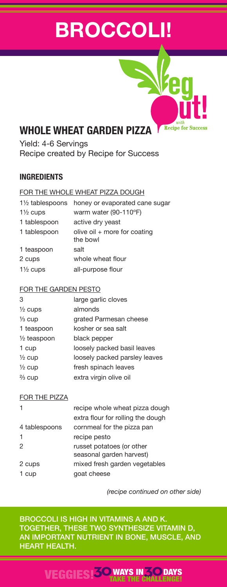# **BROCCOLI!**

**Recipe for Success** 

## **WHOLE WHEAT GARDEN PIZZA**

Yield: 4-6 Servings Recipe created by Recipe for Success

## **INGREDIENTS**

### FOR THE WHOLE WHEAT PIZZA DOUGH

| $1\frac{1}{2}$ tablespoons | honey or evaporated cane sugar             |
|----------------------------|--------------------------------------------|
| $1\frac{1}{2}$ cups        | warm water (90-110°F)                      |
| 1 tablespoon               | active dry yeast                           |
| 1 tablespoon               | olive oil $+$ more for coating<br>the bowl |
| 1 teaspoon                 | salt                                       |
| 2 cups                     | whole wheat flour                          |
| $1\frac{1}{2}$ cups        | all-purpose flour                          |
|                            |                                            |

#### FOR THE GARDEN PESTO

| 3                      | large garlic cloves           |
|------------------------|-------------------------------|
| $\frac{1}{2}$ cups     | almonds                       |
| $\frac{1}{3}$ cup      | grated Parmesan cheese        |
| 1 teaspoon             | kosher or sea salt            |
| $\frac{1}{2}$ teaspoon | black pepper                  |
| 1 cup                  | loosely packed basil leaves   |
| $\frac{1}{2}$ cup      | loosely packed parsley leaves |
| $\frac{1}{2}$ cup      | fresh spinach leaves          |
| $\frac{2}{3}$ cup      | extra virgin olive oil        |

## FOR THE PIZZA

|               | recipe whole wheat pizza dough                        |
|---------------|-------------------------------------------------------|
|               | extra flour for rolling the dough                     |
| 4 tablespoons | cornmeal for the pizza pan                            |
| $\mathbf{1}$  | recipe pesto                                          |
| 2             | russet potatoes (or other<br>seasonal garden harvest) |
| 2 cups        | mixed fresh garden vegetables                         |
| 1 cup         | goat cheese                                           |
|               |                                                       |

*(recipe continued on other side)*

BROCCOLI IS HIGH IN VITAMINS A AND K. TOGETHER, THESE TWO SYNTHESIZE VITAMIN D, AN IMPORTANT NUTRIENT IN BONE, MUSCLE, AND HEART HEALTH.

## VEGGIES!**30**WAYS IN**30** TAKE THE CHALLENGE! **DAYS**